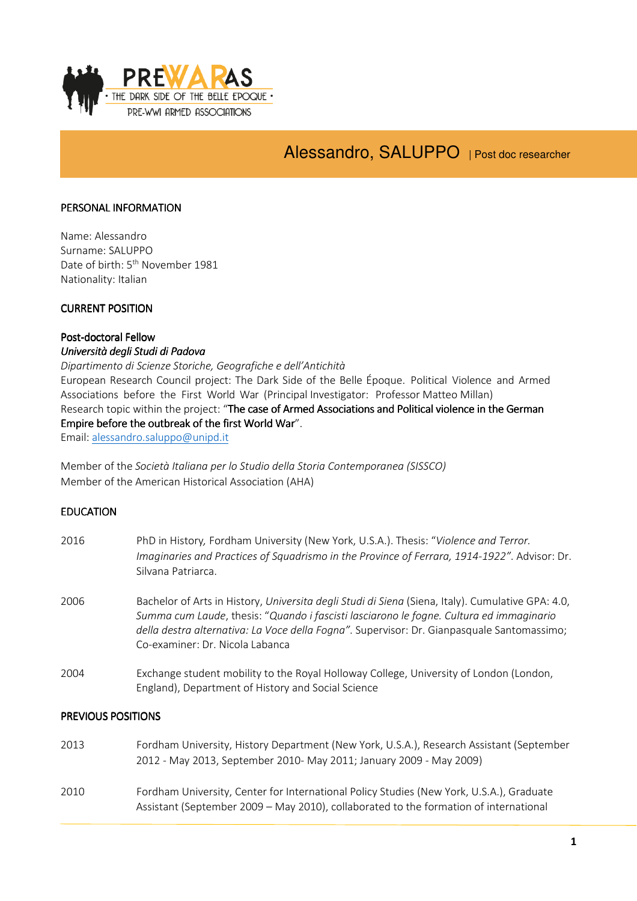

# Alessandro, SALUPPO | Post doc researcher

## PERSONAL INFORMATION

Name: Alessandro Surname: SALUPPO Date of birth: 5<sup>th</sup> November 1981 Nationality: Italian

#### **CURRENT POSITION**

## Post-doctoral Fellow Università degli Studi di Padova

Dipartimento di Scienze Storiche, Geografiche e dell'Antichità European Research Council project: The Dark Side of the Belle Époque. Political Violence and Armed Associations before the First World War (Principal Investigator: Professor Matteo Millan) Research topic within the project: "The case of Armed Associations and Political violence in the German Empire before the outbreak of the first World War". Email: alessandro.saluppo@unipd.it

Member of the Società Italiana per lo Studio della Storia Contemporanea (SISSCO) Member of the American Historical Association (AHA)

## **EDUCATION**

| 2016                      | PhD in History, Fordham University (New York, U.S.A.). Thesis: "Violence and Terror.<br>Imaginaries and Practices of Squadrismo in the Province of Ferrara, 1914-1922". Advisor: Dr.<br>Silvana Patriarca.                                                                                                                    |  |
|---------------------------|-------------------------------------------------------------------------------------------------------------------------------------------------------------------------------------------------------------------------------------------------------------------------------------------------------------------------------|--|
| 2006                      | Bachelor of Arts in History, Universita degli Studi di Siena (Siena, Italy). Cumulative GPA: 4.0,<br>Summa cum Laude, thesis: "Quando i fascisti lasciarono le fogne. Cultura ed immaginario<br>della destra alternativa: La Voce della Fogna". Supervisor: Dr. Gianpasquale Santomassimo;<br>Co-examiner: Dr. Nicola Labanca |  |
| 2004                      | Exchange student mobility to the Royal Holloway College, University of London (London,<br>England), Department of History and Social Science                                                                                                                                                                                  |  |
| <b>PREVIOUS POSITIONS</b> |                                                                                                                                                                                                                                                                                                                               |  |

| 2013 | Fordham University, History Department (New York, U.S.A.), Research Assistant (September                                                                                          |
|------|-----------------------------------------------------------------------------------------------------------------------------------------------------------------------------------|
|      | 2012 - May 2013, September 2010- May 2011; January 2009 - May 2009)                                                                                                               |
| 2010 | Fordham University, Center for International Policy Studies (New York, U.S.A.), Graduate<br>Assistant (September 2009 – May 2010), collaborated to the formation of international |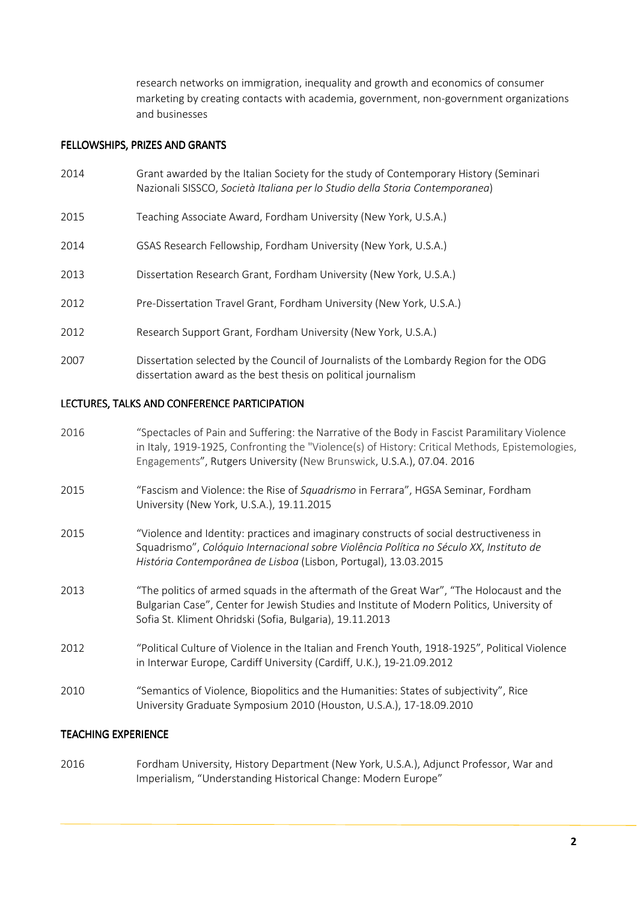research networks on immigration, inequality and growth and economics of consumer marketing by creating contacts with academia, government, non-government organizations and businesses

## FELLOWSHIPS, PRIZES AND GRANTS

- 2014 Grant awarded by the Italian Society for the study of Contemporary History (Seminari Nazionali SISSCO, Società Italiana per lo Studio della Storia Contemporanea)
- 2015 Teaching Associate Award, Fordham University (New York, U.S.A.)
- 2014 GSAS Research Fellowship, Fordham University (New York, U.S.A.)
- 2013 Dissertation Research Grant, Fordham University (New York, U.S.A.)
- 2012 Pre-Dissertation Travel Grant, Fordham University (New York, U.S.A.)
- 2012 Research Support Grant, Fordham University (New York, U.S.A.)
- 2007 Dissertation selected by the Council of Journalists of the Lombardy Region for the ODG dissertation award as the best thesis on political journalism

## LECTURES, TALKS AND CONFERENCE PARTICIPATION

| 2016 | "Spectacles of Pain and Suffering: the Narrative of the Body in Fascist Paramilitary Violence<br>in Italy, 1919-1925, Confronting the "Violence(s) of History: Critical Methods, Epistemologies,<br>Engagements", Rutgers University (New Brunswick, U.S.A.), 07.04. 2016 |
|------|---------------------------------------------------------------------------------------------------------------------------------------------------------------------------------------------------------------------------------------------------------------------------|
| 2015 | "Fascism and Violence: the Rise of Squadrismo in Ferrara", HGSA Seminar, Fordham<br>University (New York, U.S.A.), 19.11.2015                                                                                                                                             |
| 2015 | "Violence and Identity: practices and imaginary constructs of social destructiveness in<br>Squadrismo", Colóquio Internacional sobre Violência Política no Século XX, Instituto de<br>História Contemporânea de Lisboa (Lisbon, Portugal), 13.03.2015                     |
| 2013 | "The politics of armed squads in the aftermath of the Great War", "The Holocaust and the<br>Bulgarian Case", Center for Jewish Studies and Institute of Modern Politics, University of<br>Sofia St. Kliment Ohridski (Sofia, Bulgaria), 19.11.2013                        |
| 2012 | "Political Culture of Violence in the Italian and French Youth, 1918-1925", Political Violence<br>in Interwar Europe, Cardiff University (Cardiff, U.K.), 19-21.09.2012                                                                                                   |
| 2010 | "Semantics of Violence, Biopolitics and the Humanities: States of subjectivity", Rice<br>University Graduate Symposium 2010 (Houston, U.S.A.), 17-18.09.2010                                                                                                              |
|      |                                                                                                                                                                                                                                                                           |

## **TEACHING EXPERIENCE**

2016 Fordham University, History Department (New York, U.S.A.), Adjunct Professor, War and Imperialism, "Understanding Historical Change: Modern Europe"